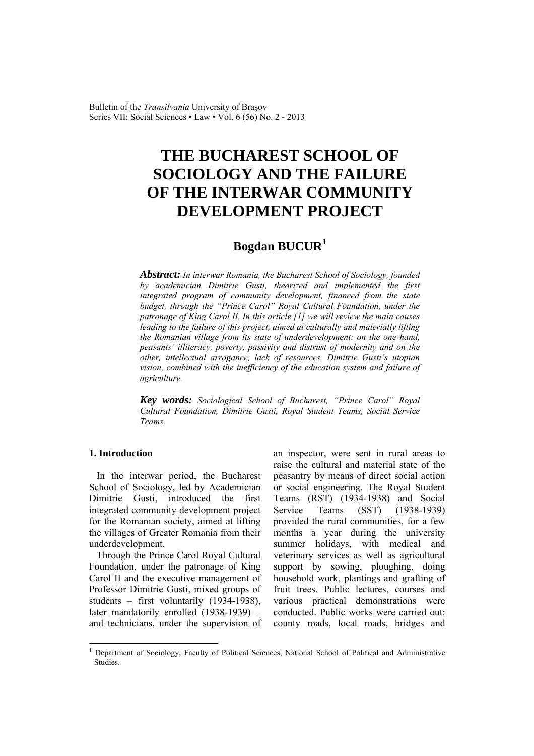Bulletin of the *Transilvania* University of Braşov Series VII: Social Sciences • Law • Vol. 6 (56) No. 2 - 2013

# **THE BUCHAREST SCHOOL OF SOCIOLOGY AND THE FAILURE OF THE INTERWAR COMMUNITY DEVELOPMENT PROJECT**

## **Bogdan BUCUR<sup>1</sup>**

*Abstract: In interwar Romania, the Bucharest School of Sociology, founded by academician Dimitrie Gusti, theorized and implemented the first integrated program of community development, financed from the state budget, through the "Prince Carol" Royal Cultural Foundation, under the patronage of King Carol II. In this article [1] we will review the main causes leading to the failure of this project, aimed at culturally and materially lifting the Romanian village from its state of underdevelopment: on the one hand, peasants' illiteracy, poverty, passivity and distrust of modernity and on the other, intellectual arrogance, lack of resources, Dimitrie Gusti's utopian vision, combined with the inefficiency of the education system and failure of agriculture.* 

*Key words: Sociological School of Bucharest, "Prince Carol" Royal Cultural Foundation, Dimitrie Gusti, Royal Student Teams, Social Service Teams.*

#### **1. Introduction**

 $\overline{a}$ 

In the interwar period, the Bucharest School of Sociology, led by Academician Dimitrie Gusti, introduced the first integrated community development project for the Romanian society, aimed at lifting the villages of Greater Romania from their underdevelopment.

Through the Prince Carol Royal Cultural Foundation, under the patronage of King Carol II and the executive management of Professor Dimitrie Gusti, mixed groups of students – first voluntarily (1934-1938), later mandatorily enrolled (1938-1939) – and technicians, under the supervision of

an inspector, were sent in rural areas to raise the cultural and material state of the peasantry by means of direct social action or social engineering. The Royal Student Teams (RST) (1934-1938) and Social Service Teams (SST) (1938-1939) provided the rural communities, for a few months a year during the university summer holidays, with medical and veterinary services as well as agricultural support by sowing, ploughing, doing household work, plantings and grafting of fruit trees. Public lectures, courses and various practical demonstrations were conducted. Public works were carried out: county roads, local roads, bridges and

<sup>1</sup> Department of Sociology, Faculty of Political Sciences, National School of Political and Administrative Studies.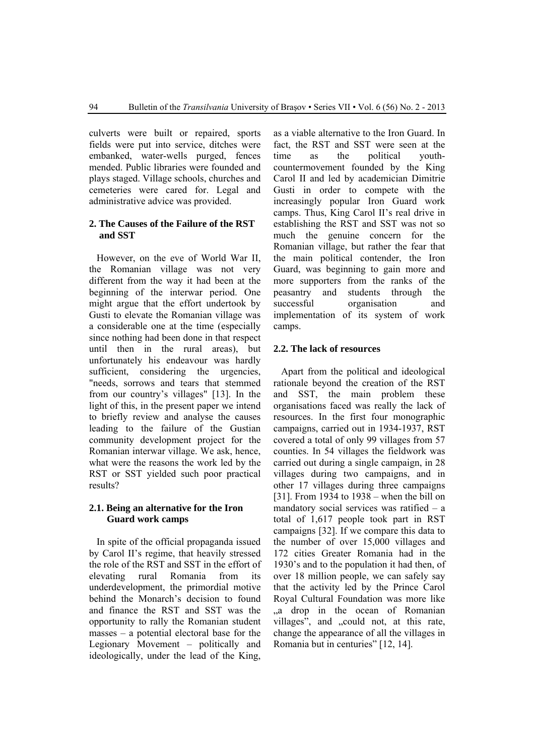culverts were built or repaired, sports fields were put into service, ditches were embanked, water-wells purged, fences mended. Public libraries were founded and plays staged. Village schools, churches and cemeteries were cared for. Legal and administrative advice was provided.

#### **2. The Causes of the Failure of the RST and SST**

However, on the eve of World War II, the Romanian village was not very different from the way it had been at the beginning of the interwar period. One might argue that the effort undertook by Gusti to elevate the Romanian village was a considerable one at the time (especially since nothing had been done in that respect until then in the rural areas), but unfortunately his endeavour was hardly sufficient, considering the urgencies, "needs, sorrows and tears that stemmed from our country's villages" [13]. In the light of this, in the present paper we intend to briefly review and analyse the causes leading to the failure of the Gustian community development project for the Romanian interwar village. We ask, hence, what were the reasons the work led by the RST or SST yielded such poor practical results?

## **2.1. Being an alternative for the Iron Guard work camps**

In spite of the official propaganda issued by Carol II's regime, that heavily stressed the role of the RST and SST in the effort of elevating rural Romania from its underdevelopment, the primordial motive behind the Monarch's decision to found and finance the RST and SST was the opportunity to rally the Romanian student masses – a potential electoral base for the Legionary Movement – politically and ideologically, under the lead of the King,

as a viable alternative to the Iron Guard. In fact, the RST and SST were seen at the time as the political youthcountermovement founded by the King Carol II and led by academician Dimitrie Gusti in order to compete with the increasingly popular Iron Guard work camps. Thus, King Carol II's real drive in establishing the RST and SST was not so much the genuine concern for the Romanian village, but rather the fear that the main political contender, the Iron Guard, was beginning to gain more and more supporters from the ranks of the peasantry and students through the successful organisation and implementation of its system of work camps.

#### **2.2. The lack of resources**

Apart from the political and ideological rationale beyond the creation of the RST and SST, the main problem these organisations faced was really the lack of resources. In the first four monographic campaigns, carried out in 1934-1937, RST covered a total of only 99 villages from 57 counties. In 54 villages the fieldwork was carried out during a single campaign, in 28 villages during two campaigns, and in other 17 villages during three campaigns [31]. From 1934 to 1938 – when the bill on mandatory social services was ratified – a total of 1,617 people took part in RST campaigns [32]. If we compare this data to the number of over 15,000 villages and 172 cities Greater Romania had in the 1930's and to the population it had then, of over 18 million people, we can safely say that the activity led by the Prince Carol Royal Cultural Foundation was more like "a drop in the ocean of Romanian villages", and "could not, at this rate, change the appearance of all the villages in Romania but in centuries" [12, 14].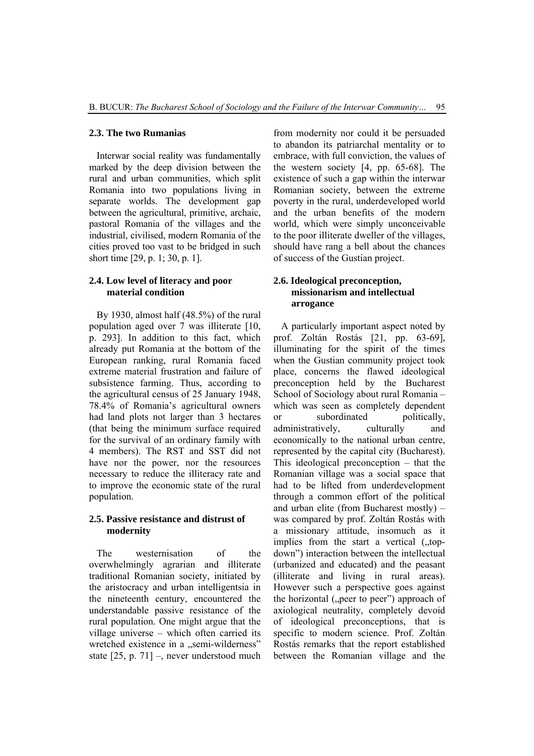#### **2.3. The two Rumanias**

Interwar social reality was fundamentally marked by the deep division between the rural and urban communities, which split Romania into two populations living in separate worlds. The development gap between the agricultural, primitive, archaic, pastoral Romania of the villages and the industrial, civilised, modern Romania of the cities proved too vast to be bridged in such short time [29, p. 1; 30, p. 1].

## **2.4. Low level of literacy and poor material condition**

By 1930, almost half (48.5%) of the rural population aged over 7 was illiterate [10, p. 293]. In addition to this fact, which already put Romania at the bottom of the European ranking, rural Romania faced extreme material frustration and failure of subsistence farming. Thus, according to the agricultural census of 25 January 1948, 78.4% of Romania's agricultural owners had land plots not larger than 3 hectares (that being the minimum surface required for the survival of an ordinary family with 4 members). The RST and SST did not have nor the power, nor the resources necessary to reduce the illiteracy rate and to improve the economic state of the rural population.

#### **2.5. Passive resistance and distrust of modernity**

The westernisation of the overwhelmingly agrarian and illiterate traditional Romanian society, initiated by the aristocracy and urban intelligentsia in the nineteenth century, encountered the understandable passive resistance of the rural population. One might argue that the village universe – which often carried its wretched existence in a "semi-wilderness" state [25, p. 71] –, never understood much

from modernity nor could it be persuaded to abandon its patriarchal mentality or to embrace, with full conviction, the values of the western society [4, pp. 65-68]. The existence of such a gap within the interwar Romanian society, between the extreme poverty in the rural, underdeveloped world and the urban benefits of the modern world, which were simply unconceivable to the poor illiterate dweller of the villages, should have rang a bell about the chances of success of the Gustian project.

## **2.6. Ideological preconception, missionarism and intellectual arrogance**

A particularly important aspect noted by prof. Zoltán Rostás [21, pp. 63-69], illuminating for the spirit of the times when the Gustian community project took place, concerns the flawed ideological preconception held by the Bucharest School of Sociology about rural Romania – which was seen as completely dependent or subordinated politically, administratively, culturally and economically to the national urban centre, represented by the capital city (Bucharest). This ideological preconception – that the Romanian village was a social space that had to be lifted from underdevelopment through a common effort of the political and urban elite (from Bucharest mostly) – was compared by prof. Zoltán Rostás with a missionary attitude, insomuch as it implies from the start a vertical  $($ , topdown") interaction between the intellectual (urbanized and educated) and the peasant (illiterate and living in rural areas). However such a perspective goes against the horizontal ("peer to peer") approach of axiological neutrality, completely devoid of ideological preconceptions, that is specific to modern science. Prof. Zoltán Rostás remarks that the report established between the Romanian village and the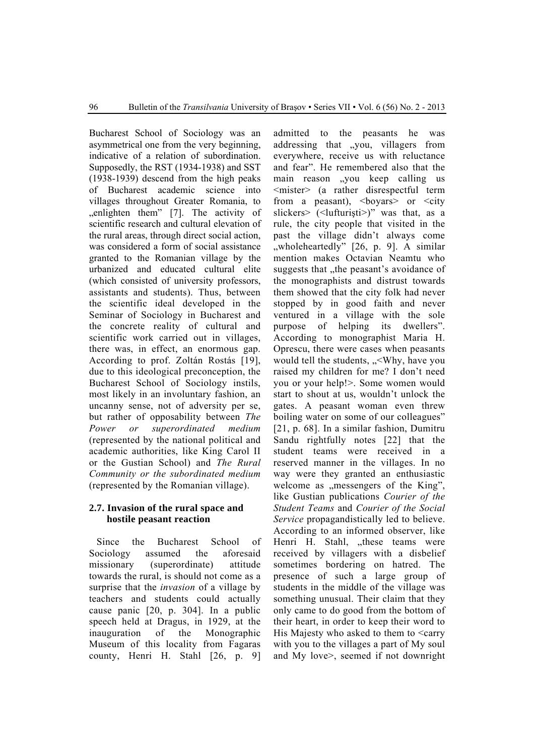Bucharest School of Sociology was an asymmetrical one from the very beginning, indicative of a relation of subordination. Supposedly, the RST (1934-1938) and SST (1938-1939) descend from the high peaks of Bucharest academic science into villages throughout Greater Romania, to ", enlighten them" [7]. The activity of scientific research and cultural elevation of the rural areas, through direct social action, was considered a form of social assistance granted to the Romanian village by the urbanized and educated cultural elite (which consisted of university professors, assistants and students). Thus, between the scientific ideal developed in the Seminar of Sociology in Bucharest and the concrete reality of cultural and scientific work carried out in villages, there was, in effect, an enormous gap. According to prof. Zoltán Rostás [19], due to this ideological preconception, the Bucharest School of Sociology instils, most likely in an involuntary fashion, an uncanny sense, not of adversity per se, but rather of opposability between *The Power or superordinated medium* (represented by the national political and academic authorities, like King Carol II or the Gustian School) and *The Rural Community or the subordinated medium* (represented by the Romanian village).

## **2.7. Invasion of the rural space and hostile peasant reaction**

Since the Bucharest School of Sociology assumed the aforesaid missionary (superordinate) attitude towards the rural, is should not come as a surprise that the *invasion* of a village by teachers and students could actually cause panic [20, p. 304]. In a public speech held at Dragus, in 1929, at the inauguration of the Monographic Museum of this locality from Fagaras county, Henri H. Stahl [26, p. 9]

admitted to the peasants he was addressing that "you, villagers from everywhere, receive us with reluctance and fear". He remembered also that the main reason "you keep calling us <mister> (a rather disrespectful term from a peasant),  $\langle$ boyars> or  $\langle$ city slickers> (<lufturisti>)" was that, as a rule, the city people that visited in the past the village didn't always come "wholeheartedly" [26, p. 9]. A similar mention makes Octavian Neamtu who suggests that , the peasant's avoidance of the monographists and distrust towards them showed that the city folk had never stopped by in good faith and never ventured in a village with the sole purpose of helping its dwellers". According to monographist Maria H. Oprescu, there were cases when peasants would tell the students, "<Why, have you raised my children for me? I don't need you or your help!>. Some women would start to shout at us, wouldn't unlock the gates. A peasant woman even threw boiling water on some of our colleagues" [21, p. 68]. In a similar fashion, Dumitru Sandu rightfully notes [22] that the student teams were received in a reserved manner in the villages. In no way were they granted an enthusiastic welcome as "messengers of the King", like Gustian publications *Courier of the Student Teams* and *Courier of the Social Service* propagandistically led to believe. According to an informed observer, like Henri H. Stahl, "these teams were received by villagers with a disbelief sometimes bordering on hatred. The presence of such a large group of students in the middle of the village was something unusual. Their claim that they only came to do good from the bottom of their heart, in order to keep their word to His Majesty who asked to them to <carry with you to the villages a part of My soul and My love>, seemed if not downright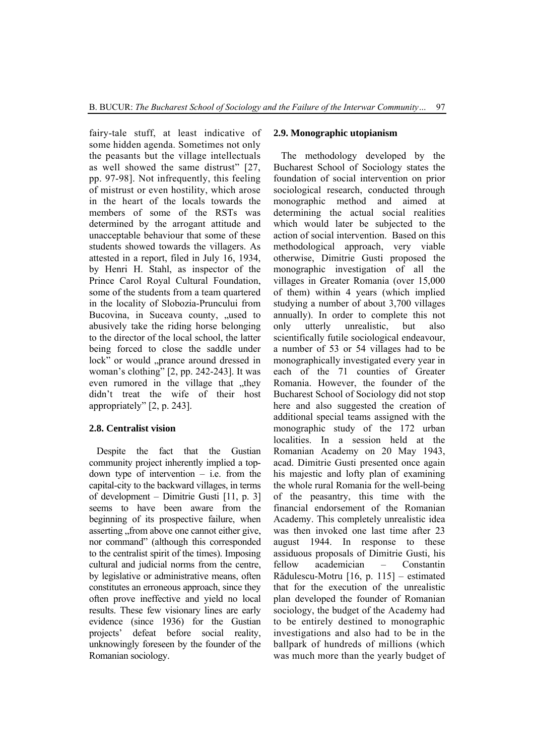fairy-tale stuff, at least indicative of some hidden agenda. Sometimes not only the peasants but the village intellectuals as well showed the same distrust" [27, pp. 97-98]. Not infrequently, this feeling of mistrust or even hostility, which arose in the heart of the locals towards the members of some of the RSTs was determined by the arrogant attitude and unacceptable behaviour that some of these students showed towards the villagers. As attested in a report, filed in July 16, 1934, by Henri H. Stahl, as inspector of the Prince Carol Royal Cultural Foundation, some of the students from a team quartered in the locality of Slobozia-Pruncului from Bucovina, in Suceava county, "used to abusively take the riding horse belonging to the director of the local school, the latter being forced to close the saddle under lock" or would "prance around dressed in woman's clothing" [2, pp. 242-243]. It was even rumored in the village that they didn't treat the wife of their host appropriately" [2, p. 243].

## **2.8. Centralist vision**

Despite the fact that the Gustian community project inherently implied a topdown type of intervention  $-$  i.e. from the capital-city to the backward villages, in terms of development – Dimitrie Gusti [11, p. 3] seems to have been aware from the beginning of its prospective failure, when asserting from above one cannot either give, nor command" (although this corresponded to the centralist spirit of the times). Imposing cultural and judicial norms from the centre, by legislative or administrative means, often constitutes an erroneous approach, since they often prove ineffective and yield no local results. These few visionary lines are early evidence (since 1936) for the Gustian projects' defeat before social reality, unknowingly foreseen by the founder of the Romanian sociology.

#### **2.9. Monographic utopianism**

The methodology developed by the Bucharest School of Sociology states the foundation of social intervention on prior sociological research, conducted through monographic method and aimed at determining the actual social realities which would later be subjected to the action of social intervention. Based on this methodological approach, very viable otherwise, Dimitrie Gusti proposed the monographic investigation of all the villages in Greater Romania (over 15,000 of them) within 4 years (which implied studying a number of about 3,700 villages annually). In order to complete this not only utterly unrealistic, but also scientifically futile sociological endeavour, a number of 53 or 54 villages had to be monographically investigated every year in each of the 71 counties of Greater Romania. However, the founder of the Bucharest School of Sociology did not stop here and also suggested the creation of additional special teams assigned with the monographic study of the 172 urban localities. In a session held at the Romanian Academy on 20 May 1943, acad. Dimitrie Gusti presented once again his majestic and lofty plan of examining the whole rural Romania for the well-being of the peasantry, this time with the financial endorsement of the Romanian Academy. This completely unrealistic idea was then invoked one last time after 23 august 1944. In response to these assiduous proposals of Dimitrie Gusti, his fellow academician – Constantin Rădulescu-Motru [16, p. 115] – estimated that for the execution of the unrealistic plan developed the founder of Romanian sociology, the budget of the Academy had to be entirely destined to monographic investigations and also had to be in the ballpark of hundreds of millions (which was much more than the yearly budget of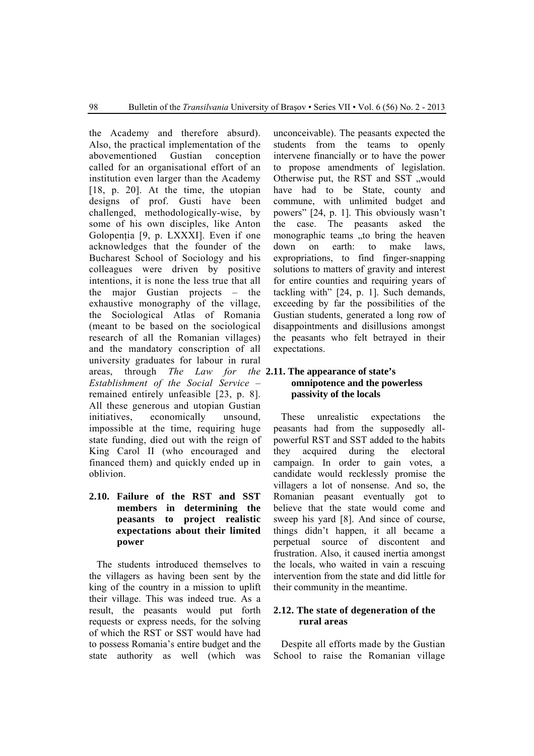the Academy and therefore absurd). Also, the practical implementation of the abovementioned Gustian conception called for an organisational effort of an institution even larger than the Academy [18, p. 20]. At the time, the utopian designs of prof. Gusti have been challenged, methodologically-wise, by some of his own disciples, like Anton Golopenția [9, p. LXXXI]. Even if one acknowledges that the founder of the Bucharest School of Sociology and his colleagues were driven by positive intentions, it is none the less true that all the major Gustian projects – the exhaustive monography of the village, the Sociological Atlas of Romania (meant to be based on the sociological research of all the Romanian villages) and the mandatory conscription of all university graduates for labour in rural areas, through *The Law for the*  **2.11. The appearance of state's**  *Establishment of the Social Service* – remained entirely unfeasible [23, p. 8]. All these generous and utopian Gustian initiatives, economically unsound, impossible at the time, requiring huge state funding, died out with the reign of King Carol II (who encouraged and financed them) and quickly ended up in oblivion.

## **2.10. Failure of the RST and SST members in determining the peasants to project realistic expectations about their limited power**

The students introduced themselves to the villagers as having been sent by the king of the country in a mission to uplift their village. This was indeed true. As a result, the peasants would put forth requests or express needs, for the solving of which the RST or SST would have had to possess Romania's entire budget and the state authority as well (which was

unconceivable). The peasants expected the students from the teams to openly intervene financially or to have the power to propose amendments of legislation. Otherwise put, the RST and SST "would have had to be State, county and commune, with unlimited budget and powers" [24, p. 1]. This obviously wasn't the case. The peasants asked the monographic teams , to bring the heaven down on earth: to make laws, expropriations, to find finger-snapping solutions to matters of gravity and interest for entire counties and requiring years of tackling with" [24, p. 1]. Such demands, exceeding by far the possibilities of the Gustian students, generated a long row of disappointments and disillusions amongst the peasants who felt betrayed in their expectations.

## **omnipotence and the powerless passivity of the locals**

These unrealistic expectations the peasants had from the supposedly allpowerful RST and SST added to the habits they acquired during the electoral campaign. In order to gain votes, a candidate would recklessly promise the villagers a lot of nonsense. And so, the Romanian peasant eventually got to believe that the state would come and sweep his yard [8]. And since of course, things didn't happen, it all became a perpetual source of discontent and frustration. Also, it caused inertia amongst the locals, who waited in vain a rescuing intervention from the state and did little for their community in the meantime.

#### **2.12. The state of degeneration of the rural areas**

Despite all efforts made by the Gustian School to raise the Romanian village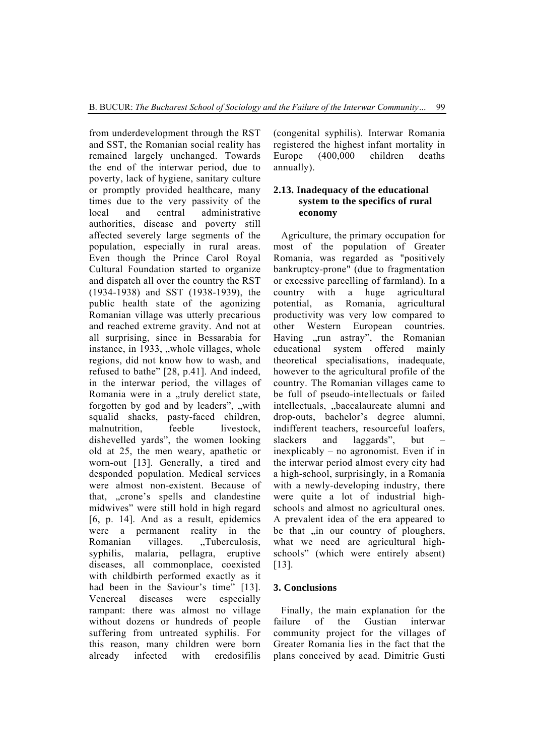from underdevelopment through the RST and SST, the Romanian social reality has remained largely unchanged. Towards the end of the interwar period, due to poverty, lack of hygiene, sanitary culture or promptly provided healthcare, many times due to the very passivity of the local and central administrative authorities, disease and poverty still affected severely large segments of the population, especially in rural areas. Even though the Prince Carol Royal Cultural Foundation started to organize and dispatch all over the country the RST (1934-1938) and SST (1938-1939), the public health state of the agonizing Romanian village was utterly precarious and reached extreme gravity. And not at all surprising, since in Bessarabia for instance, in  $1933$ , "whole villages, whole regions, did not know how to wash, and refused to bathe" [28, p.41]. And indeed, in the interwar period, the villages of Romania were in a "truly derelict state, forgotten by god and by leaders", "with squalid shacks, pasty-faced children, malnutrition, feeble livestock, dishevelled yards", the women looking old at 25, the men weary, apathetic or worn-out [13]. Generally, a tired and desponded population. Medical services were almost non-existent. Because of that, ..crone's spells and clandestine midwives" were still hold in high regard [6, p. 14]. And as a result, epidemics were a permanent reality in the Romanian villages. "Tuberculosis, syphilis, malaria, pellagra, eruptive diseases, all commonplace, coexisted with childbirth performed exactly as it had been in the Saviour's time" [13]. Venereal diseases were especially rampant: there was almost no village without dozens or hundreds of people suffering from untreated syphilis. For this reason, many children were born already infected with eredosifilis

(congenital syphilis). Interwar Romania registered the highest infant mortality in Europe (400,000 children deaths annually).

## **2.13. Inadequacy of the educational system to the specifics of rural economy**

Agriculture, the primary occupation for most of the population of Greater Romania, was regarded as "positively bankruptcy-prone" (due to fragmentation or excessive parcelling of farmland). In a country with a huge agricultural potential, as Romania, agricultural productivity was very low compared to other Western European countries. Having "run astray", the Romanian educational system offered mainly theoretical specialisations, inadequate, however to the agricultural profile of the country. The Romanian villages came to be full of pseudo-intellectuals or failed intellectuals, "baccalaureate alumni and drop-outs, bachelor's degree alumni, indifferent teachers, resourceful loafers, slackers and laggards", but inexplicably – no agronomist. Even if in the interwar period almost every city had a high-school, surprisingly, in a Romania with a newly-developing industry, there were quite a lot of industrial highschools and almost no agricultural ones. A prevalent idea of the era appeared to be that , in our country of ploughers, what we need are agricultural highschools" (which were entirely absent) [13].

## **3. Conclusions**

Finally, the main explanation for the failure of the Gustian interwar community project for the villages of Greater Romania lies in the fact that the plans conceived by acad. Dimitrie Gusti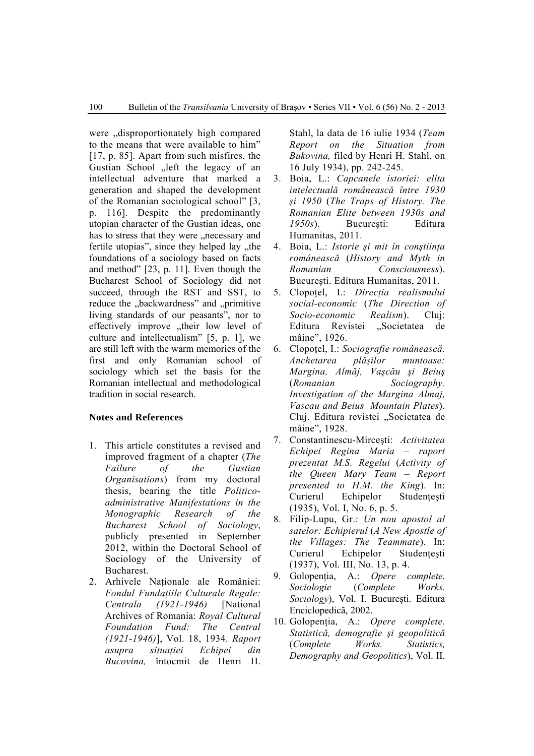were disproportionately high compared to the means that were available to him" [17, p. 85]. Apart from such misfires, the Gustian School "left the legacy of an intellectual adventure that marked a generation and shaped the development of the Romanian sociological school" [3, p. 116]. Despite the predominantly utopian character of the Gustian ideas, one has to stress that they were "necessary and fertile utopias", since they helped lay "the foundations of a sociology based on facts and method" [23, p. 11]. Even though the Bucharest School of Sociology did not succeed, through the RST and SST, to reduce the "backwardness" and "primitive living standards of our peasants", nor to effectively improve "their low level of culture and intellectualism" [5, p. 1], we are still left with the warm memories of the first and only Romanian school of sociology which set the basis for the Romanian intellectual and methodological tradition in social research.

#### **Notes and References**

- 1. This article constitutes a revised and improved fragment of a chapter (*The Failure of the Gustian Organisations*) from my doctoral thesis, bearing the title *Politicoadministrative Manifestations in the Monographic Research of the Bucharest School of Sociology*, publicly presented in September 2012, within the Doctoral School of Sociology of the University of Bucharest.
- 2. Arhivele Nationale ale României: *Fondul Fundaţiile Culturale Regale: Centrala (1921-1946)* [National Archives of Romania: *Royal Cultural Foundation Fund: The Central (1921-1946)*], Vol. 18, 1934. *Raport asupra situaţiei Echipei din Bucovina,* întocmit de Henri H.

Stahl, la data de 16 iulie 1934 (*Team Report on the Situation from Bukovina,* filed by Henri H. Stahl, on 16 July 1934), pp. 242-245.

- 3. Boia, L.: *Capcanele istoriei: elita intelectuală românească între 1930 şi 1950* (*The Traps of History. The Romanian Elite between 1930s and 1950s*). Bucureşti: Editura Humanitas, 2011.
- 4. Boia, L.: *Istorie şi mit în conştiinţa românească* (*History and Myth in Romanian Consciousness*). Bucureşti. Editura Humanitas, 2011.
- 5. Clopoţel, I.: *Direcţia realismului social-economic* (*The Direction of Socio-economic Realism*). Cluj: Editura Revistei "Societatea de mâine", 1926.
- 6. Clopoţel, I.: *Sociografie românească. Anchetarea plăşilor muntoase: Margina, Almăj, Vaşcău şi Beiuş* (*Romanian Sociography. Investigation of the Margina Almaj, Vascau and Beius Mountain Plates*). Cluj. Editura revistei "Societatea de mâine", 1928.
- 7. Constantinescu-Mirceşti: *Activitatea Echipei Regina Maria – raport prezentat M.S. Regelui* (*Activity of the Queen Mary Team – Report presented to H.M. the King*). In: Curierul Echipelor Studentesti (1935), Vol. I, No. 6, p. 5.
- 8. Filip-Lupu, Gr.: *Un nou apostol al satelor: Echipierul* (*A New Apostle of the Villages: The Teammate*). In: Curierul Echipelor Studentești (1937), Vol. III, No. 13, p. 4.
- 9. Golopenția, A.: Opere complete. *Sociologie* (*Complete Works. Sociology*), Vol. I. Bucureşti. Editura Enciclopedică, 2002.
- 10. Golopenţia, A.: *Opere complete. Statistică, demografie şi geopolitică* (*Complete Works. Statistics, Demography and Geopolitics*), Vol. II.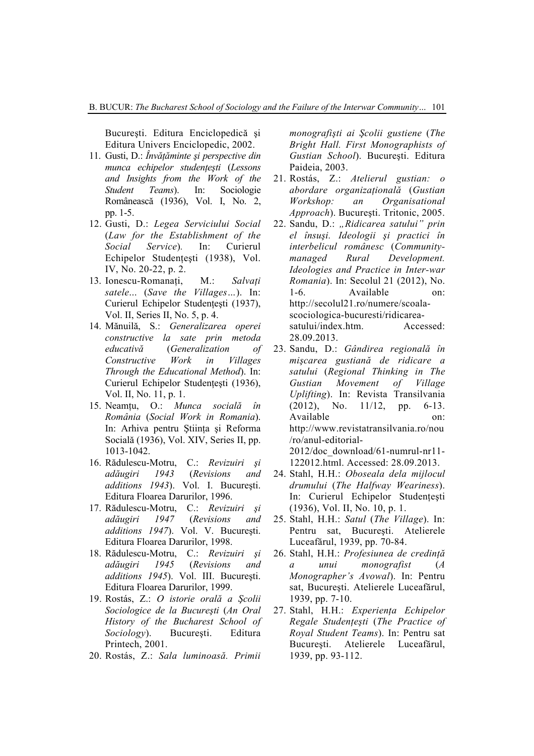Bucureşti. Editura Enciclopedică şi Editura Univers Enciclopedic, 2002.

- 11. Gusti, D.: *Învăţăminte şi perspective din munca echipelor studenţeşti* (*Lessons and Insights from the Work of the Student Teams*). In: Sociologie Românească (1936), Vol. I, No. 2, pp. 1-5.
- 12. Gusti, D.: *Legea Serviciului Social*  (*Law for the Establishment of the Social Service*)*.* In: Curierul Echipelor Studențești (1938), Vol. IV, No. 20-22, p. 2.
- 13. Ionescu-Romanati, M.: *Salvati satele*... (*Save the Villages…*). In: Curierul Echipelor Studentești (1937), Vol. II, Series II, No. 5, p. 4.
- 14. Mănuilă, S.: *Generalizarea operei constructive la sate prin metoda educativă* (*Generalization of Constructive Work in Villages Through the Educational Method*). In: Curierul Echipelor Studenţeşti (1936), Vol. II, No. 11, p. 1.
- 15. Neamţu, O.: *Munca socială în România* (*Social Work in Romania*). In: Arhiva pentru Ştiinţa şi Reforma Socială (1936), Vol. XIV, Series II, pp. 1013-1042.
- 16. Rădulescu-Motru, C.: *Revizuiri şi adăugiri 1943* (*Revisions and additions 1943*). Vol. I. Bucureşti. Editura Floarea Darurilor, 1996.
- 17. Rădulescu-Motru, C.: *Revizuiri şi adăugiri 1947* (*Revisions and additions 1947*). Vol. V. Bucureşti. Editura Floarea Darurilor, 1998.
- 18. Rădulescu-Motru, C.: *Revizuiri şi adăugiri 1945* (*Revisions and additions 1945*). Vol. III. Bucureşti. Editura Floarea Darurilor, 1999.
- 19. Rostás, Z.: *O istorie orală a Şcolii Sociologice de la Bucureşti* (*An Oral History of the Bucharest School of Sociology*). Bucureşti. Editura Printech, 2001.
- 20. Rostás, Z.: *Sala luminoasă. Primii*

*monografişti ai Şcolii gustiene* (*The Bright Hall. First Monographists of Gustian School*). Bucureşti. Editura Paideia, 2003.

- 21. Rostás, Z.: *Atelierul gustian: o abordare organizaţională* (*Gustian Workshop: an Organisational Approach*). Bucureşti. Tritonic, 2005.
- 22. Sandu, D.: "Ridicarea satului" prin *el însuşi. Ideologii şi practici în interbelicul românesc* (*Communitymanaged Rural Development. Ideologies and Practice in Inter-war Romania*). In: Secolul 21 (2012), No. 1-6. Available on: http://secolul21.ro/numere/scoalascociologica-bucuresti/ridicareasatului/index.htm. Accessed: 28.09.2013.
- 23. Sandu, D.: *Gândirea regională în mişcarea gustiană de ridicare a satului* (*Regional Thinking in The Gustian Movement of Village Uplifting*). In: Revista Transilvania (2012), No. 11/12, pp. 6-13. Available on: http://www.revistatransilvania.ro/nou /ro/anul-editorial-2012/doc\_download/61-numrul-nr11- 122012.html. Accessed: 28.09.2013.
- 24. Stahl, H.H.: *Oboseala dela mijlocul drumului* (*The Halfway Weariness*). In: Curierul Echipelor Studentesti (1936), Vol. II, No. 10, p. 1.
- 25. Stahl, H.H.: *Satul* (*The Village*). In: Pentru sat, București. Atelierele Luceafărul, 1939, pp. 70-84.
- 26. Stahl, H.H.: *Profesiunea de credinţă a unui monografist* (*A Monographer's Avowal*). In: Pentru sat, Bucureşti. Atelierele Luceafărul, 1939, pp. 7-10.
- 27. Stahl, H.H.: *Experienţa Echipelor Regale Studenţeşti* (*The Practice of Royal Student Teams*). In: Pentru sat Bucureşti. Atelierele Luceafărul, 1939, pp. 93-112.